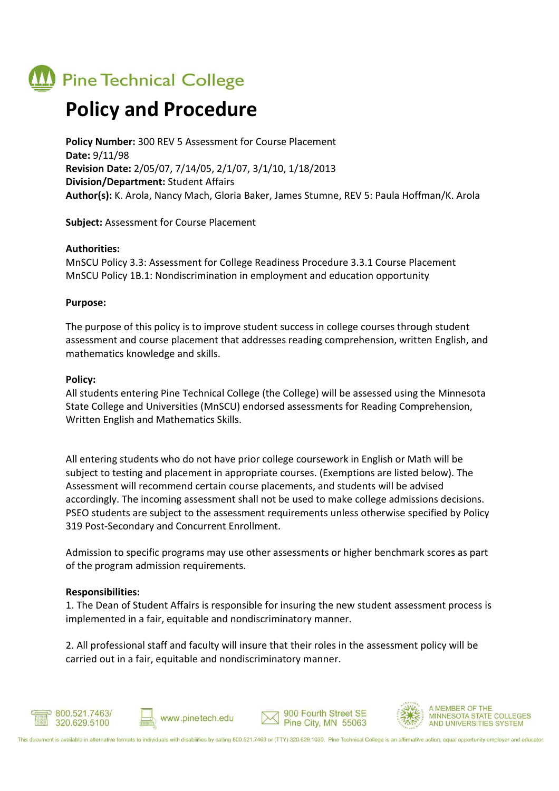## **Pine Technical College**

### **Policy and Procedure**

**Policy Number:** 300 REV 5 Assessment for Course Placement **Date:** 9/11/98 **Revision Date:** 2/05/07, 7/14/05, 2/1/07, 3/1/10, 1/18/2013 **Division/Department:** Student Affairs **Author(s):** K. Arola, Nancy Mach, Gloria Baker, James Stumne, REV 5: Paula Hoffman/K. Arola

**Subject:** Assessment for Course Placement

#### **Authorities:**

MnSCU Policy 3.3: Assessment for College Readiness Procedure 3.3.1 Course Placement MnSCU Policy 1B.1: Nondiscrimination in employment and education opportunity

#### **Purpose:**

The purpose of this policy is to improve student success in college courses through student assessment and course placement that addresses reading comprehension, written English, and mathematics knowledge and skills.

#### **Policy:**

All students entering Pine Technical College (the College) will be assessed using the Minnesota State College and Universities (MnSCU) endorsed assessments for Reading Comprehension, Written English and Mathematics Skills.

All entering students who do not have prior college coursework in English or Math will be subject to testing and placement in appropriate courses. (Exemptions are listed below). The Assessment will recommend certain course placements, and students will be advised accordingly. The incoming assessment shall not be used to make college admissions decisions. PSEO students are subject to the assessment requirements unless otherwise specified by Policy 319 Post-Secondary and Concurrent Enrollment.

Admission to specific programs may use other assessments or higher benchmark scores as part of the program admission requirements.

#### **Responsibilities:**

1. The Dean of Student Affairs is responsible for insuring the new student assessment process is implemented in a fair, equitable and nondiscriminatory manner.

2. All professional staff and faculty will insure that their roles in the assessment policy will be carried out in a fair, equitable and nondiscriminatory manner.









A MEMBER OF THE MINNESOTA STATE COLLEGES AND UNIVERSITIES SYSTEM